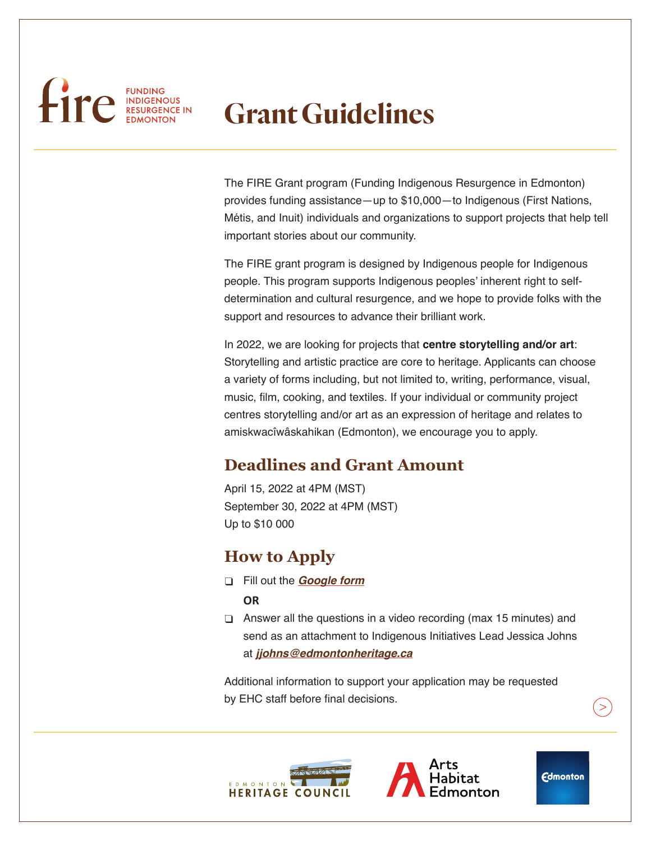# FUNDING FUNDING

# **Grant Guidelines**

The FIRE Grant program (Funding Indigenous Resurgence in Edmonton) provides funding assistance—up to \$10,000—to Indigenous (First Nations, Métis, and Inuit) individuals and organizations to support projects that help tell important stories about our community.

The FIRE grant program is designed by Indigenous people for Indigenous people. This program supports Indigenous peoples' inherent right to selfdetermination and cultural resurgence, and we hope to provide folks with the support and resources to advance their brilliant work.

In 2022, we are looking for projects that **centre storytelling and/or art**: Storytelling and artistic practice are core to heritage. Applicants can choose a variety of forms including, but not limited to, writing, performance, visual, music, film, cooking, and textiles. If your individual or community project centres storytelling and/or art as an expression of heritage and relates to amiskwacîwâskahikan (Edmonton), we encourage you to apply.

# **Deadlines and Grant Amount**

April 15, 2022 at 4PM (MST) September 30, 2022 at 4PM (MST) Up to \$10 000

# **How to Apply**

- φ Fill out the *[Google form](https://docs.google.com/forms/d/e/1FAIpQLSfMACgN3FZql3z57AwUYd-yJEX1PUR1Zsf8HfkGrR-JIlqEMw/viewform)*
	- **OR**
- $\Box$  Answer all the questions in a video recording (max 15 minutes) and send as an attachment to Indigenous Initiatives Lead Jessica Johns at *[jjohns@edmontonheritage.ca](mailto:jjohns%40edmontonheritage.ca?subject=)*

Additional information to support your application may be requested by EHC staff before final decisions.





**Edmonton**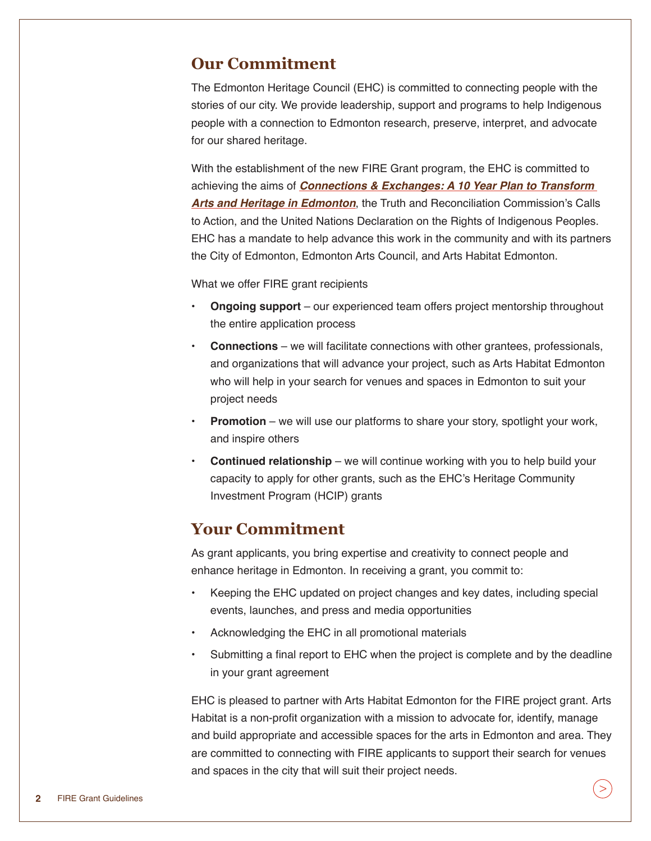#### **Our Commitment**

The Edmonton Heritage Council (EHC) is committed to connecting people with the stories of our city. We provide leadership, support and programs to help Indigenous people with a connection to Edmonton research, preserve, interpret, and advocate for our shared heritage.

With the establishment of the new FIRE Grant program, the EHC is committed to achieving the aims of *[Connections & Exchanges: A 10 Year Plan to Transform](https://www.edmonton.ca/city_government/documents/Connections_and_Exchanges_Final.pdf)  [Arts and Heritage in Edmonton](https://www.edmonton.ca/city_government/documents/Connections_and_Exchanges_Final.pdf)*, the Truth and Reconciliation Commission's Calls to Action, and the United Nations Declaration on the Rights of Indigenous Peoples. EHC has a mandate to help advance this work in the community and with its partners the City of Edmonton, Edmonton Arts Council, and Arts Habitat Edmonton.

What we offer FIRE grant recipients

- **• Ongoing support** our experienced team offers project mentorship throughout the entire application process
- **• Connections** we will facilitate connections with other grantees, professionals, and organizations that will advance your project, such as Arts Habitat Edmonton who will help in your search for venues and spaces in Edmonton to suit your project needs
- **• Promotion** we will use our platforms to share your story, spotlight your work, and inspire others
- **• Continued relationship** we will continue working with you to help build your capacity to apply for other grants, such as the EHC's Heritage Community Investment Program (HCIP) grants

#### **Your Commitment**

As grant applicants, you bring expertise and creativity to connect people and enhance heritage in Edmonton. In receiving a grant, you commit to:

- Keeping the EHC updated on project changes and key dates, including special events, launches, and press and media opportunities
- Acknowledging the EHC in all promotional materials
- Submitting a final report to EHC when the project is complete and by the deadline in your grant agreement

EHC is pleased to partner with Arts Habitat Edmonton for the FIRE project grant. Arts Habitat is a non-profit organization with a mission to advocate for, identify, manage and build appropriate and accessible spaces for the arts in Edmonton and area. They are committed to connecting with FIRE applicants to support their search for venues and spaces in the city that will suit their project needs.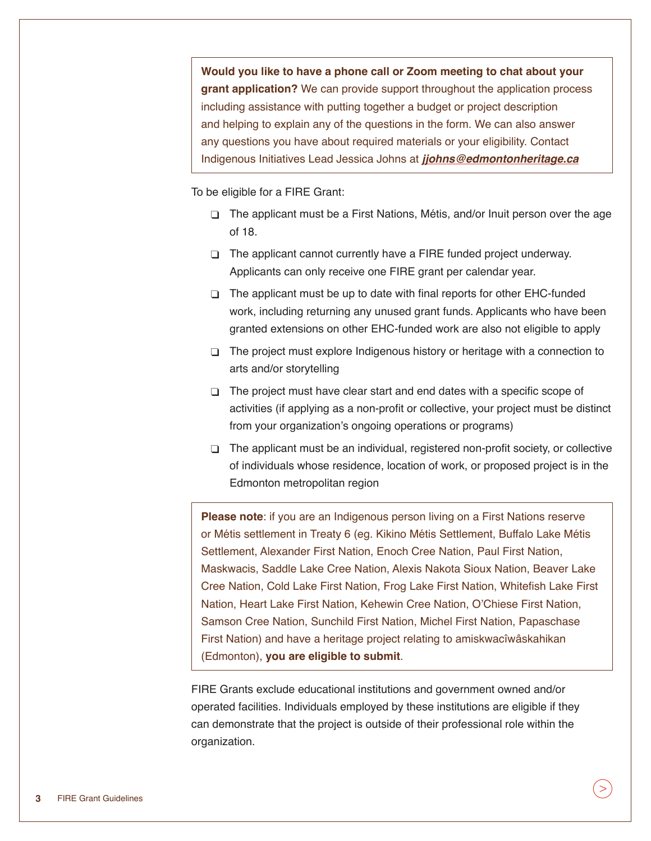**Would you like to have a phone call or Zoom meeting to chat about your grant application?** We can provide support throughout the application process including assistance with putting together a budget or project description and helping to explain any of the questions in the form. We can also answer any questions you have about required materials or your eligibility. Contact Indigenous Initiatives Lead Jessica Johns at *[jjohns@edmontonheritage.ca](mailto:jjohns%40edmontonheritage.ca?subject=)*

To be eligible for a FIRE Grant:

- φ The applicant must be a First Nations, Métis, and/or Inuit person over the age of 18.
- $\Box$  The applicant cannot currently have a FIRE funded project underway. Applicants can only receive one FIRE grant per calendar year.
- $\Box$  The applicant must be up to date with final reports for other EHC-funded work, including returning any unused grant funds. Applicants who have been granted extensions on other EHC-funded work are also not eligible to apply
- $\Box$  The project must explore Indigenous history or heritage with a connection to arts and/or storytelling
- $\Box$  The project must have clear start and end dates with a specific scope of activities (if applying as a non-profit or collective, your project must be distinct from your organization's ongoing operations or programs)
- $\Box$  The applicant must be an individual, registered non-profit society, or collective of individuals whose residence, location of work, or proposed project is in the Edmonton metropolitan region

**Please note**: if you are an Indigenous person living on a First Nations reserve or Métis settlement in Treaty 6 (eg. Kikino Métis Settlement, Buffalo Lake Métis Settlement, Alexander First Nation, Enoch Cree Nation, Paul First Nation, Maskwacis, Saddle Lake Cree Nation, Alexis Nakota Sioux Nation, Beaver Lake Cree Nation, Cold Lake First Nation, Frog Lake First Nation, Whitefish Lake First Nation, Heart Lake First Nation, Kehewin Cree Nation, O'Chiese First Nation, Samson Cree Nation, Sunchild First Nation, Michel First Nation, Papaschase First Nation) and have a heritage project relating to amiskwacîwâskahikan (Edmonton), **you are eligible to submit**.

FIRE Grants exclude educational institutions and government owned and/or operated facilities. Individuals employed by these institutions are eligible if they can demonstrate that the project is outside of their professional role within the organization.